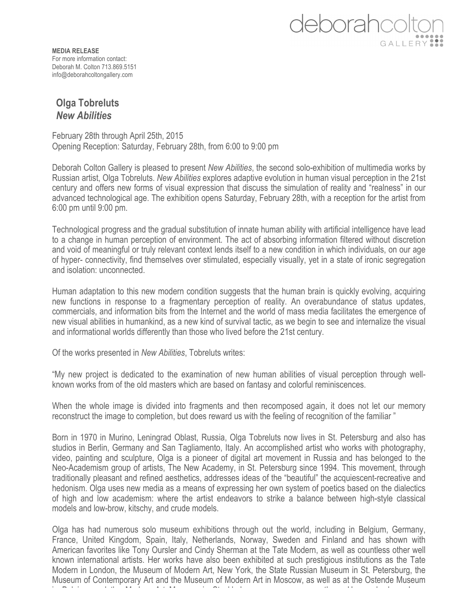## deborahcoli GALLERY:

**MEDIA RELEASE** For more information contact: Deborah M. Colton 713.869.5151 info@deborahcoltongallery.com

## **Olga Tobreluts** *New Abilities*

February 28th through April 25th, 2015 Opening Reception: Saturday, February 28th, from 6:00 to 9:00 pm

Deborah Colton Gallery is pleased to present *New Abilities*, the second solo-exhibition of multimedia works by Russian artist, Olga Tobreluts. *New Abilities* explores adaptive evolution in human visual perception in the 21st century and offers new forms of visual expression that discuss the simulation of reality and "realness" in our advanced technological age. The exhibition opens Saturday, February 28th, with a reception for the artist from 6:00 pm until 9:00 pm.

Technological progress and the gradual substitution of innate human ability with artificial intelligence have lead to a change in human perception of environment. The act of absorbing information filtered without discretion and void of meaningful or truly relevant context lends itself to a new condition in which individuals, on our age of hyper- connectivity, find themselves over stimulated, especially visually, yet in a state of ironic segregation and isolation: unconnected.

Human adaptation to this new modern condition suggests that the human brain is quickly evolving, acquiring new functions in response to a fragmentary perception of reality. An overabundance of status updates, commercials, and information bits from the Internet and the world of mass media facilitates the emergence of new visual abilities in humankind, as a new kind of survival tactic, as we begin to see and internalize the visual and informational worlds differently than those who lived before the 21st century.

Of the works presented in *New Abilities*, Tobreluts writes:

"My new project is dedicated to the examination of new human abilities of visual perception through wellknown works from of the old masters which are based on fantasy and colorful reminiscences.

When the whole image is divided into fragments and then recomposed again, it does not let our memory reconstruct the image to completion, but does reward us with the feeling of recognition of the familiar "

Born in 1970 in Murino, Leningrad Oblast, Russia, Olga Tobreluts now lives in St. Petersburg and also has studios in Berlin, Germany and San Tagliamento, Italy. An accomplished artist who works with photography, video, painting and sculpture, Olga is a pioneer of digital art movement in Russia and has belonged to the Neo-Academism group of artists, The New Academy, in St. Petersburg since 1994. This movement, through traditionally pleasant and refined aesthetics, addresses ideas of the "beautiful" the acquiescent-recreative and hedonism. Olga uses new media as a means of expressing her own system of poetics based on the dialectics of high and low academism: where the artist endeavors to strike a balance between high-style classical models and low-brow, kitschy, and crude models.

Olga has had numerous solo museum exhibitions through out the world, including in Belgium, Germany, France, United Kingdom, Spain, Italy, Netherlands, Norway, Sweden and Finland and has shown with American favorites like Tony Oursler and Cindy Sherman at the Tate Modern, as well as countless other well known international artists. Her works have also been exhibited at such prestigious institutions as the Tate Modern in London, the Museum of Modern Art, New York, the State Russian Museum in St. Petersburg, the Museum of Contemporary Art and the Museum of Modern Art in Moscow, as well as at the Ostende Museum in Belgium and the Modern Art Museum in Stockholm, among numerous others. Her works have been